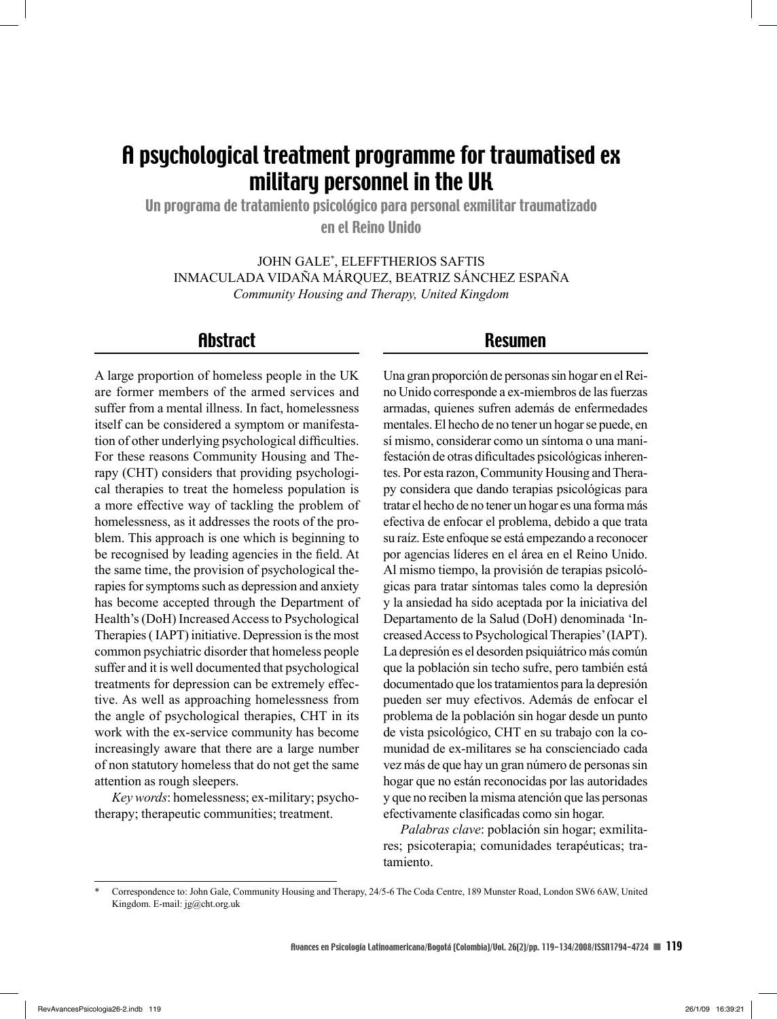# A psychological treatment programme for traumatised ex military personnel in the UK

Un programa de tratamiento psicológico para personal exmilitar traumatizado en el Reino Unido

JOHN GALE\* , ELEFFTHERIOS SAFTIS INMACULADA VIDAÑA MÁRQUEZ, BEATRIZ SÁNCHEZ ESPAÑA *Community Housing and Therapy, United Kingdom*

# **Abstract**

A large proportion of homeless people in the UK are former members of the armed services and suffer from a mental illness. In fact, homelessness itself can be considered a symptom or manifestation of other underlying psychological difficulties. For these reasons Community Housing and Therapy (CHT) considers that providing psychological therapies to treat the homeless population is a more effective way of tackling the problem of homelessness, as it addresses the roots of the problem. This approach is one which is beginning to be recognised by leading agencies in the field. At the same time, the provision of psychological therapies for symptoms such as depression and anxiety has become accepted through the Department of Health's (DoH) Increased Access to Psychological Therapies ( IAPT) initiative. Depression is the most common psychiatric disorder that homeless people suffer and it is well documented that psychological treatments for depression can be extremely effective. As well as approaching homelessness from the angle of psychological therapies, CHT in its work with the ex-service community has become increasingly aware that there are a large number of non statutory homeless that do not get the same attention as rough sleepers.

*Key words*: homelessness; ex-military; psychotherapy; therapeutic communities; treatment.

## Resumen

Una gran proporción de personas sin hogar en el Reino Unido corresponde a ex-miembros de las fuerzas armadas, quienes sufren además de enfermedades mentales. El hecho de no tener un hogar se puede, en sí mismo, considerar como un síntoma o una manifestación de otras dificultades psicológicas inherentes. Por esta razon, Community Housing and Therapy considera que dando terapias psicológicas para tratar el hecho de no tener un hogar es una forma más efectiva de enfocar el problema, debido a que trata su raíz. Este enfoque se está empezando a reconocer por agencias líderes en el área en el Reino Unido. Al mismo tiempo, la provisión de terapias psicológicas para tratar síntomas tales como la depresión y la ansiedad ha sido aceptada por la iniciativa del Departamento de la Salud (DoH) denominada 'Increased Access to Psychological Therapies' (IAPT). La depresión es el desorden psiquiátrico más común que la población sin techo sufre, pero también está documentado que los tratamientos para la depresión pueden ser muy efectivos. Además de enfocar el problema de la población sin hogar desde un punto de vista psicológico, CHT en su trabajo con la comunidad de ex-militares se ha conscienciado cada vez más de que hay un gran número de personas sin hogar que no están reconocidas por las autoridades y que no reciben la misma atención que las personas efectivamente clasificadas como sin hogar.

*Palabras clave*: población sin hogar; exmilitares; psicoterapia; comunidades terapéuticas; tratamiento.

<sup>\*</sup> Correspondence to: John Gale, Community Housing and Therapy, 24/5-6 The Coda Centre, 189 Munster Road, London SW6 6AW, United Kingdom. E-mail: jg@cht.org.uk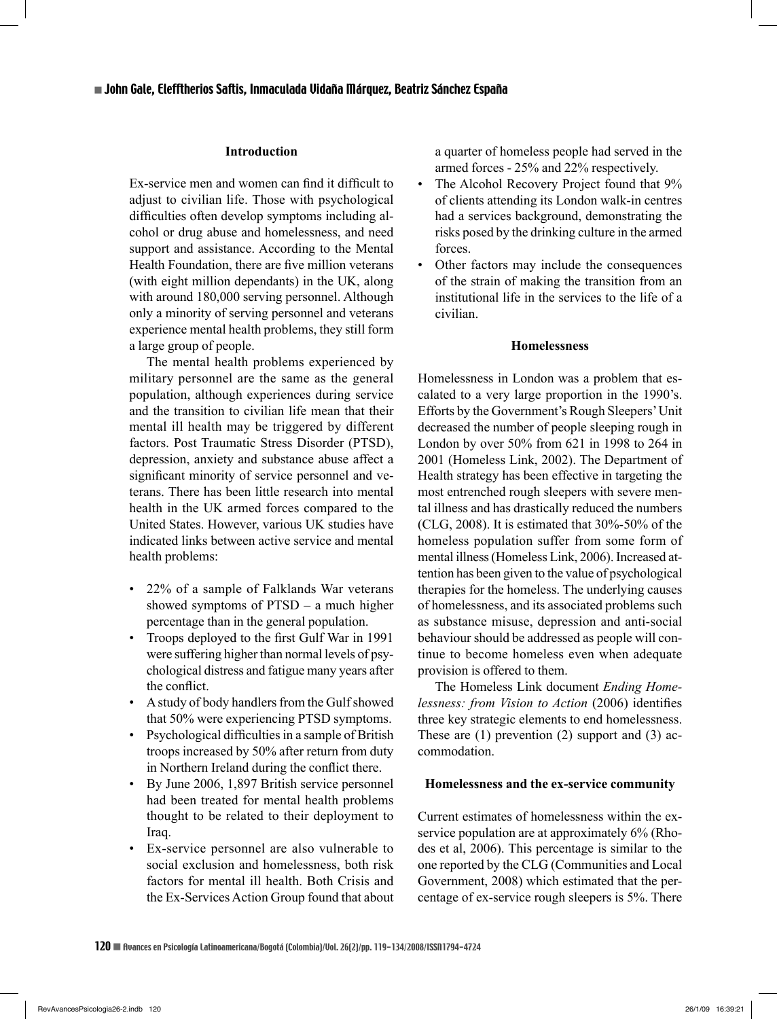#### **Introduction**

Ex-service men and women can find it difficult to adjust to civilian life. Those with psychological difficulties often develop symptoms including alcohol or drug abuse and homelessness, and need support and assistance. According to the Mental Health Foundation, there are five million veterans (with eight million dependants) in the UK, along with around 180,000 serving personnel. Although only a minority of serving personnel and veterans experience mental health problems, they still form a large group of people.

The mental health problems experienced by military personnel are the same as the general population, although experiences during service and the transition to civilian life mean that their mental ill health may be triggered by different factors. Post Traumatic Stress Disorder (PTSD), depression, anxiety and substance abuse affect a significant minority of service personnel and veterans. There has been little research into mental health in the UK armed forces compared to the United States. However, various UK studies have indicated links between active service and mental health problems:

- 22% of a sample of Falklands War veterans showed symptoms of PTSD – a much higher percentage than in the general population.
- Troops deployed to the first Gulf War in 1991 were suffering higher than normal levels of psychological distress and fatigue many years after the conflict.
- A study of body handlers from the Gulf showed that 50% were experiencing PTSD symptoms.
- Psychological difficulties in a sample of British troops increased by 50% after return from duty in Northern Ireland during the conflict there.
- By June 2006, 1,897 British service personnel had been treated for mental health problems thought to be related to their deployment to Iraq.
- Ex-service personnel are also vulnerable to social exclusion and homelessness, both risk factors for mental ill health. Both Crisis and the Ex-Services Action Group found that about

a quarter of homeless people had served in the armed forces - 25% and 22% respectively.

- The Alcohol Recovery Project found that  $9\%$ of clients attending its London walk-in centres had a services background, demonstrating the risks posed by the drinking culture in the armed forces.
- Other factors may include the consequences of the strain of making the transition from an institutional life in the services to the life of a civilian.

#### **Homelessness**

Homelessness in London was a problem that escalated to a very large proportion in the 1990's. Efforts by the Government's Rough Sleepers' Unit decreased the number of people sleeping rough in London by over 50% from 621 in 1998 to 264 in 2001 (Homeless Link, 2002). The Department of Health strategy has been effective in targeting the most entrenched rough sleepers with severe mental illness and has drastically reduced the numbers (CLG, 2008). It is estimated that  $30\% - 50\%$  of the homeless population suffer from some form of mental illness (Homeless Link, 2006). Increased attention has been given to the value of psychological therapies for the homeless. The underlying causes of homelessness, and its associated problems such as substance misuse, depression and anti-social behaviour should be addressed as people will continue to become homeless even when adequate provision is offered to them.

The Homeless Link document *Ending Homelessness: from Vision to Action* (2006) identifies three key strategic elements to end homelessness. These are  $(1)$  prevention  $(2)$  support and  $(3)$  accommodation.

#### **Homelessness and the ex-service community**

Current estimates of homelessness within the exservice population are at approximately 6% (Rhodes et al, 2006). This percentage is similar to the one reported by the CLG (Communities and Local Government, 2008) which estimated that the percentage of ex-service rough sleepers is 5%. There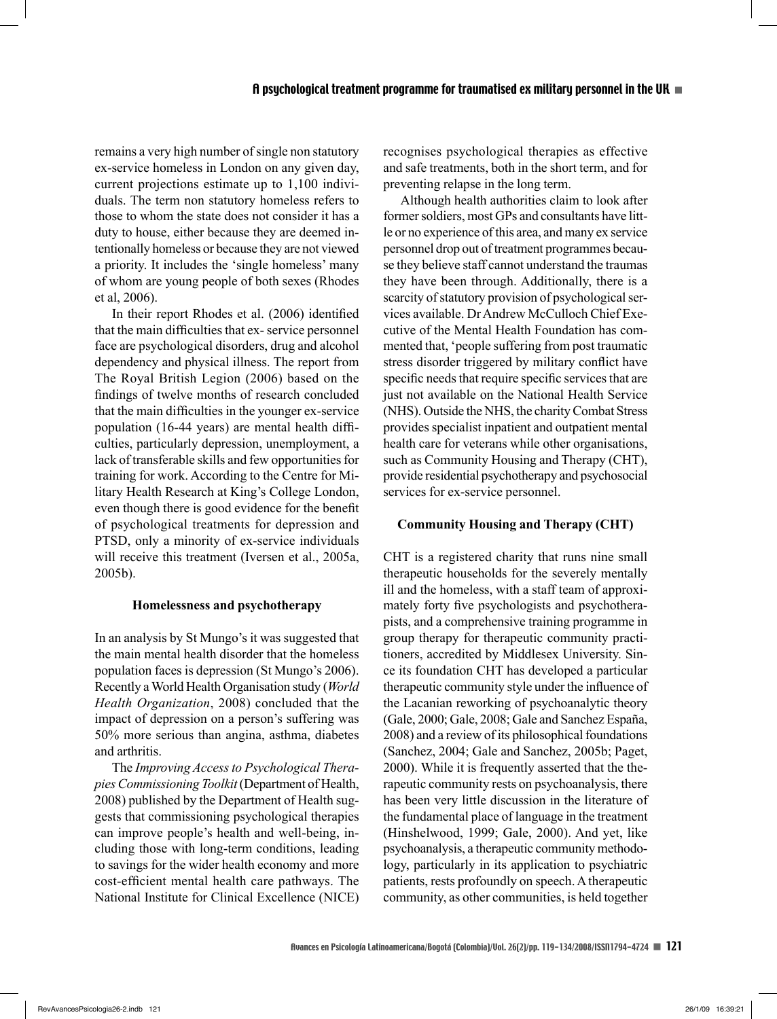remains a very high number of single non statutory ex-service homeless in London on any given day, current projections estimate up to 1,100 individuals. The term non statutory homeless refers to those to whom the state does not consider it has a duty to house, either because they are deemed intentionally homeless or because they are not viewed a priority. It includes the 'single homeless' many of whom are young people of both sexes (Rhodes et al, 2006).

In their report Rhodes et al. (2006) identified that the main difficulties that ex-service personnel face are psychological disorders, drug and alcohol dependency and physical illness. The report from The Royal British Legion (2006) based on the findings of twelve months of research concluded that the main difficulties in the younger ex-service population (16-44 years) are mental health difficulties, particularly depression, unemployment, a lack of transferable skills and few opportunities for training for work. According to the Centre for Military Health Research at King's College London, even though there is good evidence for the benefit of psychological treatments for depression and PTSD, only a minority of ex-service individuals will receive this treatment (Iversen et al., 2005a, 2005b).

## **Homelessness and psychotherapy**

In an analysis by St Mungo's it was suggested that the main mental health disorder that the homeless population faces is depression (St Mungo's 2006). Recently a World Health Organisation study (*World Health Organization*, 2008) concluded that the impact of depression on a person's suffering was 50% more serious than angina, asthma, diabetes and arthritis.

The *Improving Access to Psychological Therapies Commissioning Toolkit* (Department of Health, 2008) published by the Department of Health suggests that commissioning psychological therapies can improve people's health and well-being, including those with long-term conditions, leading to savings for the wider health economy and more cost-efficient mental health care pathways. The National Institute for Clinical Excellence (NICE) recognises psychological therapies as effective and safe treatments, both in the short term, and for preventing relapse in the long term.

Although health authorities claim to look after former soldiers, most GPs and consultants have little or no experience of this area, and many ex service personnel drop out of treatment programmes because they believe staff cannot understand the traumas they have been through. Additionally, there is a scarcity of statutory provision of psychological services available. Dr Andrew McCulloch Chief Executive of the Mental Health Foundation has commented that, 'people suffering from post traumatic stress disorder triggered by military conflict have specific needs that require specific services that are just not available on the National Health Service (NHS). Outside the NHS, the charity Combat Stress provides specialist inpatient and outpatient mental health care for veterans while other organisations, such as Community Housing and Therapy (CHT), provide residential psychotherapy and psychosocial services for ex-service personnel.

## **Community Housing and Therapy (CHT)**

CHT is a registered charity that runs nine small therapeutic households for the severely mentally ill and the homeless, with a staff team of approximately forty five psychologists and psychotherapists, and a comprehensive training programme in group therapy for therapeutic community practitioners, accredited by Middlesex University. Since its foundation CHT has developed a particular therapeutic community style under the influence of the Lacanian reworking of psychoanalytic theory (Gale, 2000; Gale, 2008; Gale and Sanchez España, 2008) and a review of its philosophical foundations (Sanchez, 2004; Gale and Sanchez, 2005b; Paget, 2000). While it is frequently asserted that the therapeutic community rests on psychoanalysis, there has been very little discussion in the literature of the fundamental place of language in the treatment (Hinshelwood, 1999; Gale, 2000). And yet, like psychoanalysis, a therapeutic community methodology, particularly in its application to psychiatric patients, rests profoundly on speech. A therapeutic community, as other communities, is held together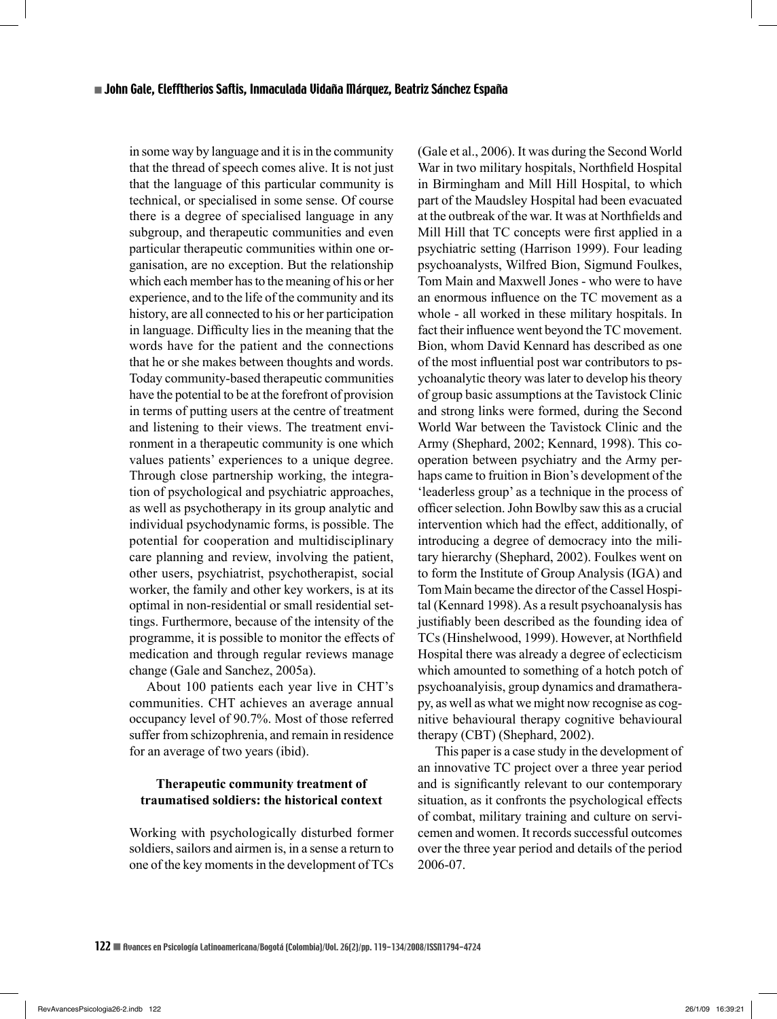in some way by language and it is in the community that the thread of speech comes alive. It is not just that the language of this particular community is technical, or specialised in some sense. Of course there is a degree of specialised language in any subgroup, and therapeutic communities and even particular therapeutic communities within one organisation, are no exception. But the relationship which each member has to the meaning of his or her experience, and to the life of the community and its history, are all connected to his or her participation in language. Difficulty lies in the meaning that the words have for the patient and the connections that he or she makes between thoughts and words. Today community-based therapeutic communities have the potential to be at the forefront of provision in terms of putting users at the centre of treatment and listening to their views. The treatment environment in a therapeutic community is one which values patients' experiences to a unique degree. Through close partnership working, the integration of psychological and psychiatric approaches, as well as psychotherapy in its group analytic and individual psychodynamic forms, is possible. The potential for cooperation and multidisciplinary care planning and review, involving the patient, other users, psychiatrist, psychotherapist, social worker, the family and other key workers, is at its optimal in non-residential or small residential settings. Furthermore, because of the intensity of the programme, it is possible to monitor the effects of medication and through regular reviews manage change (Gale and Sanchez, 2005a).

About 100 patients each year live in CHT's communities. CHT achieves an average annual occupancy level of 90.7%. Most of those referred suffer from schizophrenia, and remain in residence for an average of two years (ibid).

## **Therapeutic community treatment of traumatised soldiers: the historical context**

Working with psychologically disturbed former soldiers, sailors and airmen is, in a sense a return to one of the key moments in the development of TCs (Gale et al., 2006). It was during the Second World War in two military hospitals, Northfield Hospital in Birmingham and Mill Hill Hospital, to which part of the Maudsley Hospital had been evacuated at the outbreak of the war. It was at Northfields and Mill Hill that TC concepts were first applied in a psychiatric setting (Harrison 1999). Four leading psychoanalysts, Wilfred Bion, Sigmund Foulkes, Tom Main and Maxwell Jones - who were to have an enormous influence on the TC movement as a whole - all worked in these military hospitals. In fact their influence went beyond the TC movement. Bion, whom David Kennard has described as one of the most influential post war contributors to psychoanalytic theory was later to develop his theory of group basic assumptions at the Tavistock Clinic and strong links were formed, during the Second World War between the Tavistock Clinic and the Army (Shephard, 2002; Kennard, 1998). This cooperation between psychiatry and the Army perhaps came to fruition in Bion's development of the 'leaderless group' as a technique in the process of officer selection. John Bowlby saw this as a crucial intervention which had the effect, additionally, of introducing a degree of democracy into the military hierarchy (Shephard, 2002). Foulkes went on to form the Institute of Group Analysis (IGA) and Tom Main became the director of the Cassel Hospital (Kennard 1998). As a result psychoanalysis has justifiably been described as the founding idea of TCs (Hinshelwood, 1999). However, at Northfield Hospital there was already a degree of eclecticism which amounted to something of a hotch potch of psychoanalyisis, group dynamics and dramatherapy, as well as what we might now recognise as cognitive behavioural therapy cognitive behavioural therapy (CBT) (Shephard, 2002).

This paper is a case study in the development of an innovative TC project over a three year period and is significantly relevant to our contemporary situation, as it confronts the psychological effects of combat, military training and culture on servicemen and women. It records successful outcomes over the three year period and details of the period 2006-07.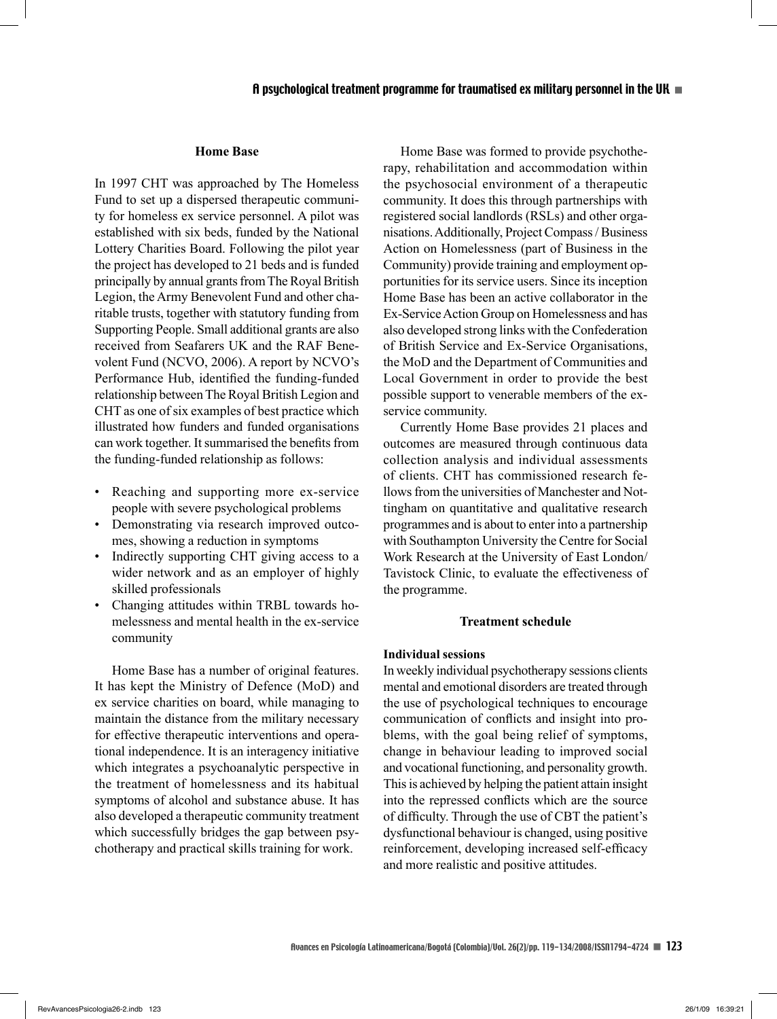#### **Home Base**

In 1997 CHT was approached by The Homeless Fund to set up a dispersed therapeutic community for homeless ex service personnel. A pilot was established with six beds, funded by the National Lottery Charities Board. Following the pilot year the project has developed to 21 beds and is funded principally by annual grants from The Royal British Legion, the Army Benevolent Fund and other charitable trusts, together with statutory funding from Supporting People. Small additional grants are also received from Seafarers UK and the RAF Benevolent Fund (NCVO, 2006). A report by NCVO's Performance Hub, identified the funding-funded relationship between The Royal British Legion and CHT as one of six examples of best practice which illustrated how funders and funded organisations can work together. It summarised the benefits from the funding-funded relationship as follows:

- Reaching and supporting more ex-service people with severe psychological problems
- Demonstrating via research improved outcomes, showing a reduction in symptoms
- Indirectly supporting CHT giving access to a wider network and as an employer of highly skilled professionals
- Changing attitudes within TRBL towards homelessness and mental health in the ex-service community

Home Base has a number of original features. It has kept the Ministry of Defence (MoD) and ex service charities on board, while managing to maintain the distance from the military necessary for effective therapeutic interventions and operational independence. It is an interagency initiative which integrates a psychoanalytic perspective in the treatment of homelessness and its habitual symptoms of alcohol and substance abuse. It has also developed a therapeutic community treatment which successfully bridges the gap between psychotherapy and practical skills training for work.

Home Base was formed to provide psychotherapy, rehabilitation and accommodation within the psychosocial environment of a therapeutic community. It does this through partnerships with registered social landlords (RSLs) and other organisations. Additionally, Project Compass / Business Action on Homelessness (part of Business in the Community) provide training and employment opportunities for its service users. Since its inception Home Base has been an active collaborator in the Ex-Service Action Group on Homelessness and has also developed strong links with the Confederation of British Service and Ex-Service Organisations, the MoD and the Department of Communities and Local Government in order to provide the best possible support to venerable members of the exservice community.

Currently Home Base provides 21 places and outcomes are measured through continuous data collection analysis and individual assessments of clients. CHT has commissioned research fellows from the universities of Manchester and Nottingham on quantitative and qualitative research programmes and is about to enter into a partnership with Southampton University the Centre for Social Work Research at the University of East London/ Tavistock Clinic, to evaluate the effectiveness of the programme.

#### **Treatment schedule**

## **Individual sessions**

In weekly individual psychotherapy sessions clients mental and emotional disorders are treated through the use of psychological techniques to encourage communication of conflicts and insight into problems, with the goal being relief of symptoms, change in behaviour leading to improved social and vocational functioning, and personality growth. This is achieved by helping the patient attain insight into the repressed conflicts which are the source of difficulty. Through the use of CBT the patient's dysfunctional behaviour is changed, using positive reinforcement, developing increased self-efficacy and more realistic and positive attitudes.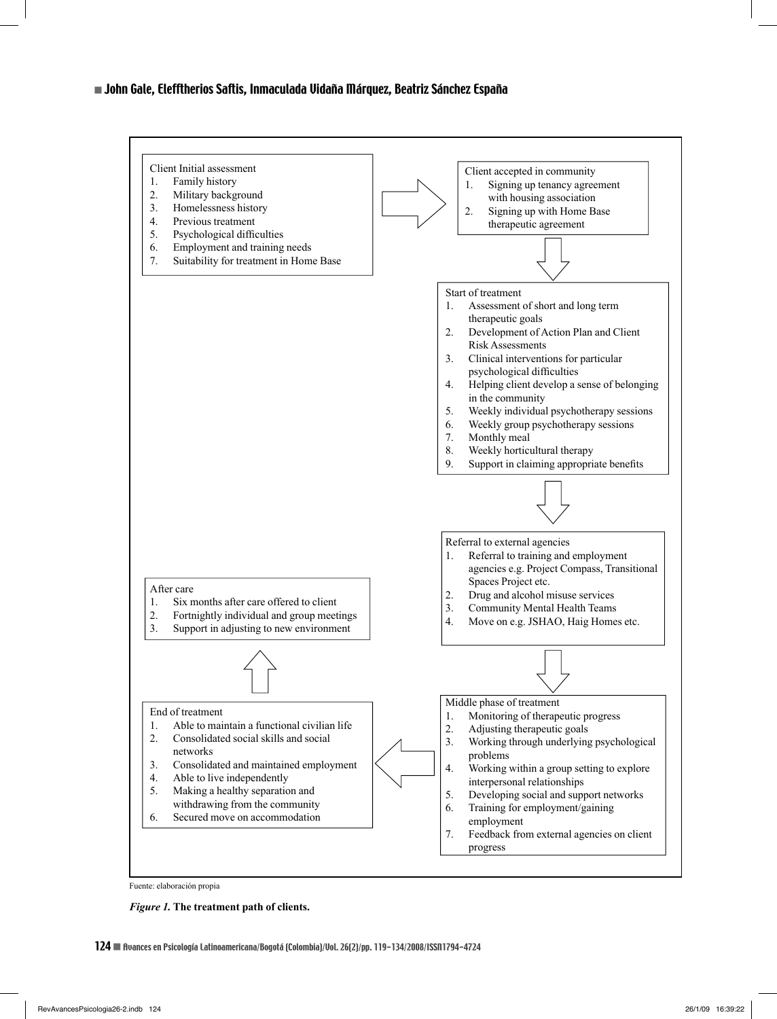



*Figure 1.* **The treatment path of clients.**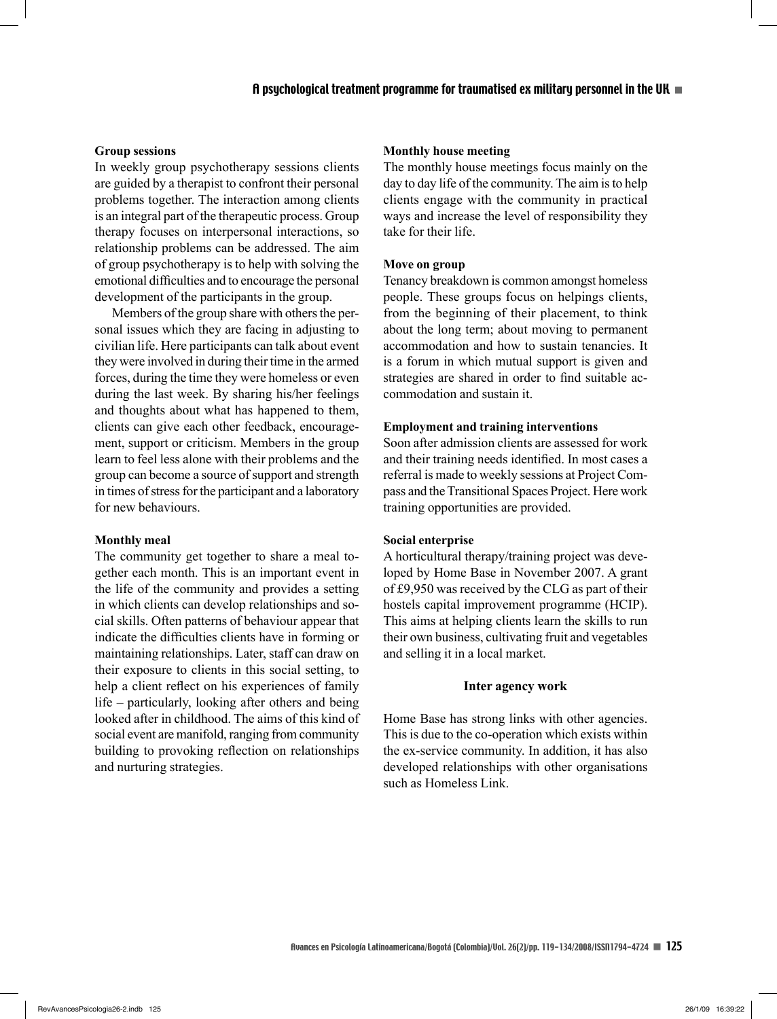## **Group sessions**

In weekly group psychotherapy sessions clients are guided by a therapist to confront their personal problems together. The interaction among clients is an integral part of the therapeutic process. Group therapy focuses on interpersonal interactions, so relationship problems can be addressed. The aim of group psychotherapy is to help with solving the emotional difficulties and to encourage the personal development of the participants in the group.

Members of the group share with others the personal issues which they are facing in adjusting to civilian life. Here participants can talk about event they were involved in during their time in the armed forces, during the time they were homeless or even during the last week. By sharing his/her feelings and thoughts about what has happened to them, clients can give each other feedback, encouragement, support or criticism. Members in the group learn to feel less alone with their problems and the group can become a source of support and strength in times of stress for the participant and a laboratory for new behaviours.

#### **Monthly meal**

The community get together to share a meal together each month. This is an important event in the life of the community and provides a setting in which clients can develop relationships and social skills. Often patterns of behaviour appear that indicate the difficulties clients have in forming or maintaining relationships. Later, staff can draw on their exposure to clients in this social setting, to help a client reflect on his experiences of family life – particularly, looking after others and being looked after in childhood. The aims of this kind of social event are manifold, ranging from community building to provoking reflection on relationships and nurturing strategies.

## **Monthly house meeting**

The monthly house meetings focus mainly on the day to day life of the community. The aim is to help clients engage with the community in practical ways and increase the level of responsibility they take for their life.

## **Move on group**

Tenancy breakdown is common amongst homeless people. These groups focus on helpings clients, from the beginning of their placement, to think about the long term; about moving to permanent accommodation and how to sustain tenancies. It is a forum in which mutual support is given and strategies are shared in order to find suitable accommodation and sustain it.

## **Employment and training interventions**

Soon after admission clients are assessed for work and their training needs identified. In most cases a referral is made to weekly sessions at Project Compass and the Transitional Spaces Project. Here work training opportunities are provided.

#### **Social enterprise**

A horticultural therapy/training project was developed by Home Base in November 2007. A grant of £9,950 was received by the CLG as part of their hostels capital improvement programme (HCIP). This aims at helping clients learn the skills to run their own business, cultivating fruit and vegetables and selling it in a local market.

### **Inter agency work**

Home Base has strong links with other agencies. This is due to the co-operation which exists within the ex-service community. In addition, it has also developed relationships with other organisations such as Homeless Link.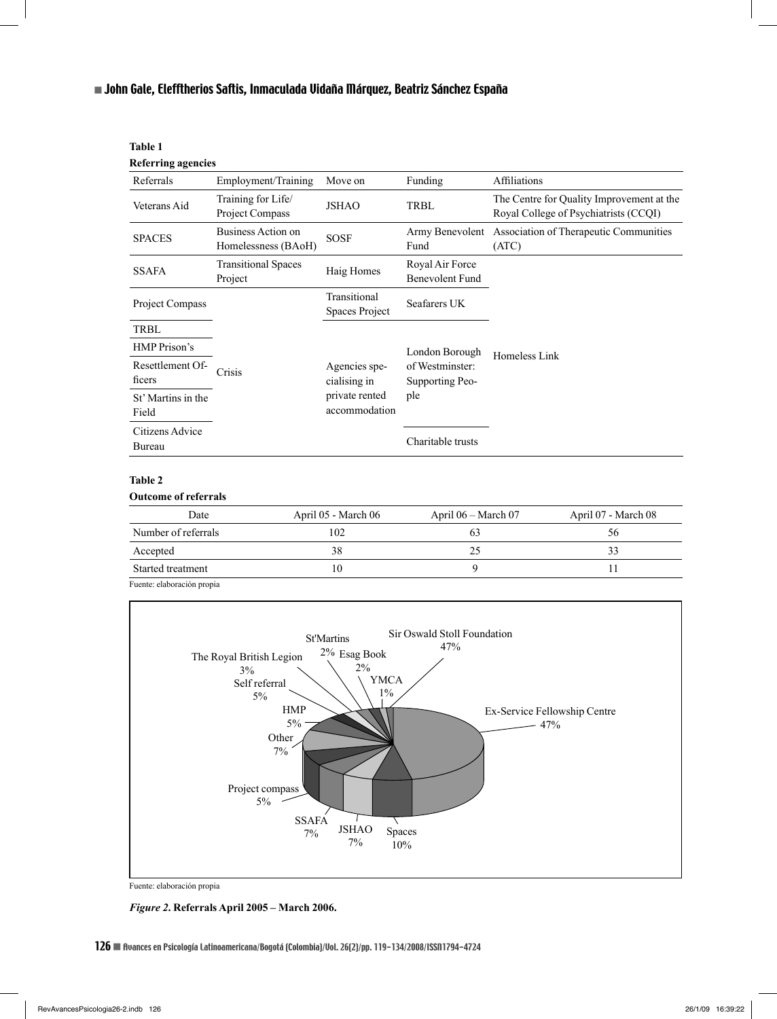| <b>Table 1</b><br><b>Referring agencies</b> |                                           |                                                                  |                                           |                                                                                    |
|---------------------------------------------|-------------------------------------------|------------------------------------------------------------------|-------------------------------------------|------------------------------------------------------------------------------------|
| Referrals                                   | Employment/Training                       | Move on                                                          | Funding                                   | Affiliations                                                                       |
| Veterans Aid                                | Training for Life/<br>Project Compass     | <b>JSHAO</b>                                                     | TRBL                                      | The Centre for Quality Improvement at the<br>Royal College of Psychiatrists (CCQI) |
| <b>SPACES</b>                               | Business Action on<br>Homelessness (BAoH) | <b>SOSF</b>                                                      | Army Benevolent<br>Fund                   | Association of Therapeutic Communities<br>(ATC)                                    |
| <b>SSAFA</b>                                | <b>Transitional Spaces</b><br>Project     | Haig Homes                                                       | Royal Air Force<br><b>Benevolent Fund</b> |                                                                                    |
| Project Compass                             |                                           | Transitional<br><b>Spaces Project</b>                            | Seafarers UK                              |                                                                                    |
| TRBL                                        |                                           |                                                                  |                                           |                                                                                    |
| HMP Prison's                                |                                           |                                                                  | London Borough                            | Homeless Link                                                                      |
| Resettlement Of-<br>ficers                  | Crisis                                    | Agencies spe-<br>cialising in<br>private rented<br>accommodation | of Westminster:<br>Supporting Peo-<br>ple |                                                                                    |
| St' Martins in the<br>Field                 |                                           |                                                                  |                                           |                                                                                    |
| Citizens Advice<br>Bureau                   |                                           |                                                                  | Charitable trusts                         |                                                                                    |
| Tahle 2                                     |                                           |                                                                  |                                           |                                                                                    |

#### **Table 2**

#### **Outcome of referrals**

| Date                       | April 05 - March 06 | April $06 - \text{March } 07$ | April 07 - March 08 |
|----------------------------|---------------------|-------------------------------|---------------------|
| Number of referrals        | 102                 |                               | აი                  |
| Accepted                   | 38                  |                               |                     |
| Started treatment          | 10                  |                               |                     |
| Fuente: elaboración propia |                     |                               |                     |



Fuente: elaboración propia

#### *Figure 2***. Referrals April 2005 – March 2006.**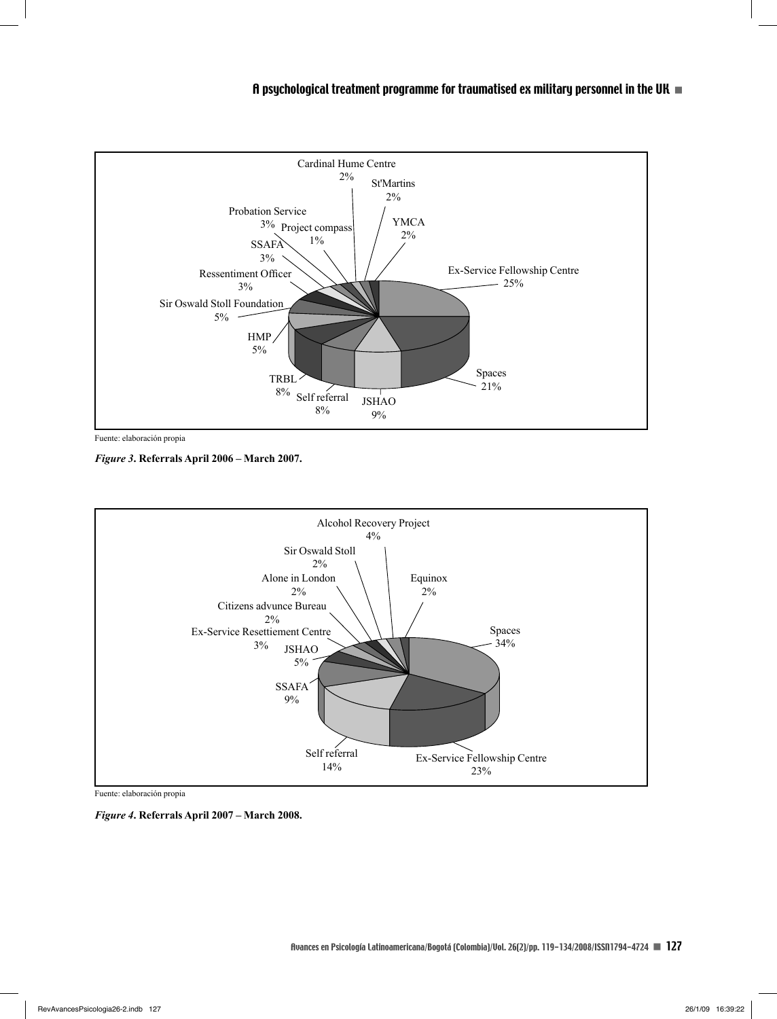

Fuente: elaboración propia

*Figure 3***. Referrals April 2006 – March 2007.**



Fuente: elaboración propia

*Figure 4***. Referrals April 2007 – March 2008.**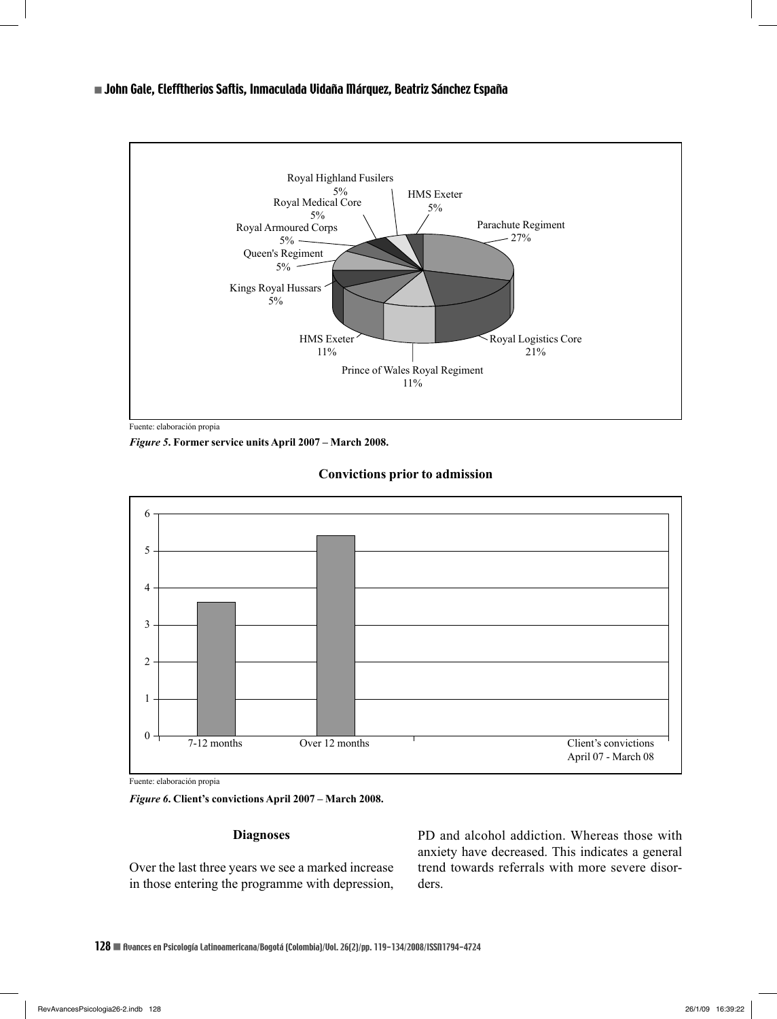

Fuente: elaboración propia

*Figure 5***. Former service units April 2007 – March 2008.**



## **Convictions prior to admission**

Fuente: elaboración propia

*Figure 6***. Client's convictions April 2007 – March 2008.**

#### **Diagnoses**

Over the last three years we see a marked increase in those entering the programme with depression, PD and alcohol addiction. Whereas those with anxiety have decreased. This indicates a general trend towards referrals with more severe disorders.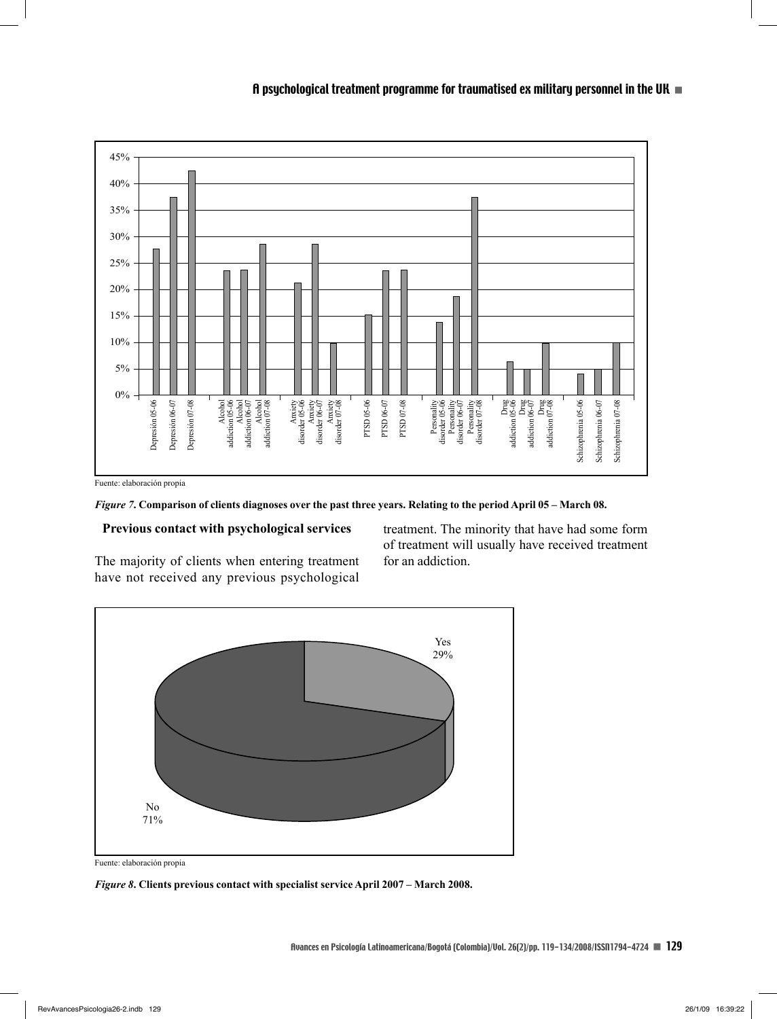

*Figure 7***. Comparison of clients diagnoses over the past three years. Relating to the period April 05 – March 08.** 

## **Previous contact with psychological services**

The majority of clients when entering treatment have not received any previous psychological treatment. The minority that have had some form of treatment will usually have received treatment for an addiction.



Fuente: elaboración propia

*Figure 8***. Clients previous contact with specialist service April 2007 – March 2008.**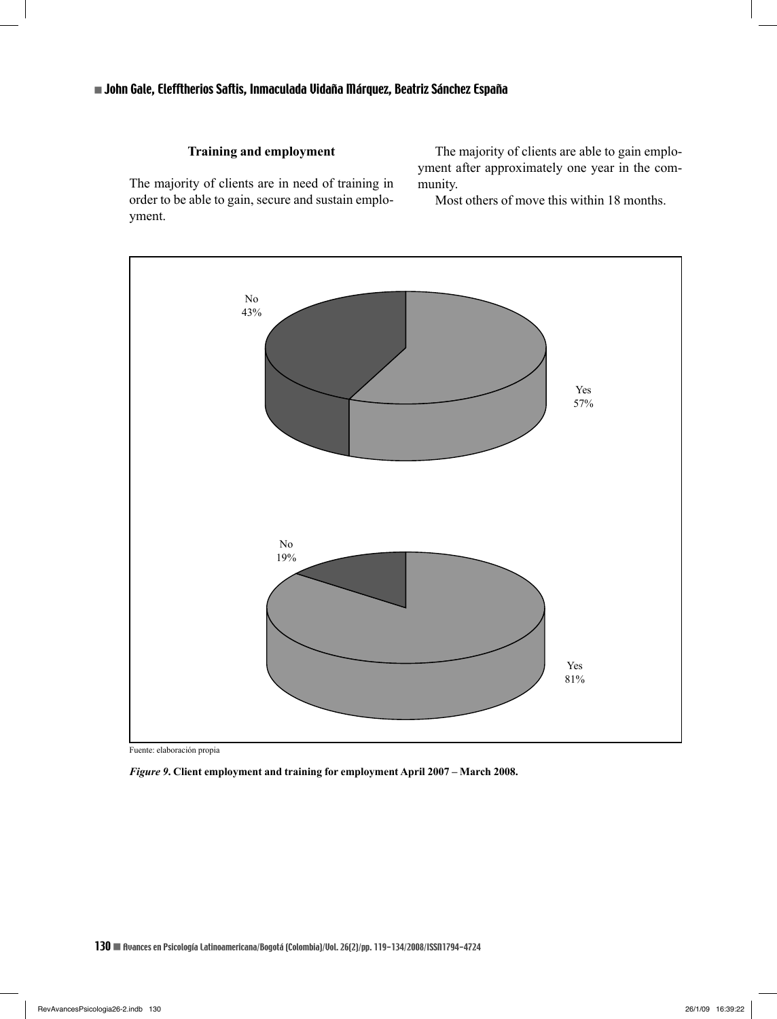## **Training and employment**

The majority of clients are in need of training in order to be able to gain, secure and sustain employment.

The majority of clients are able to gain employment after approximately one year in the community.

Most others of move this within 18 months.



Fuente: elaboración propia

*Figure 9***. Client employment and training for employment April 2007 – March 2008.**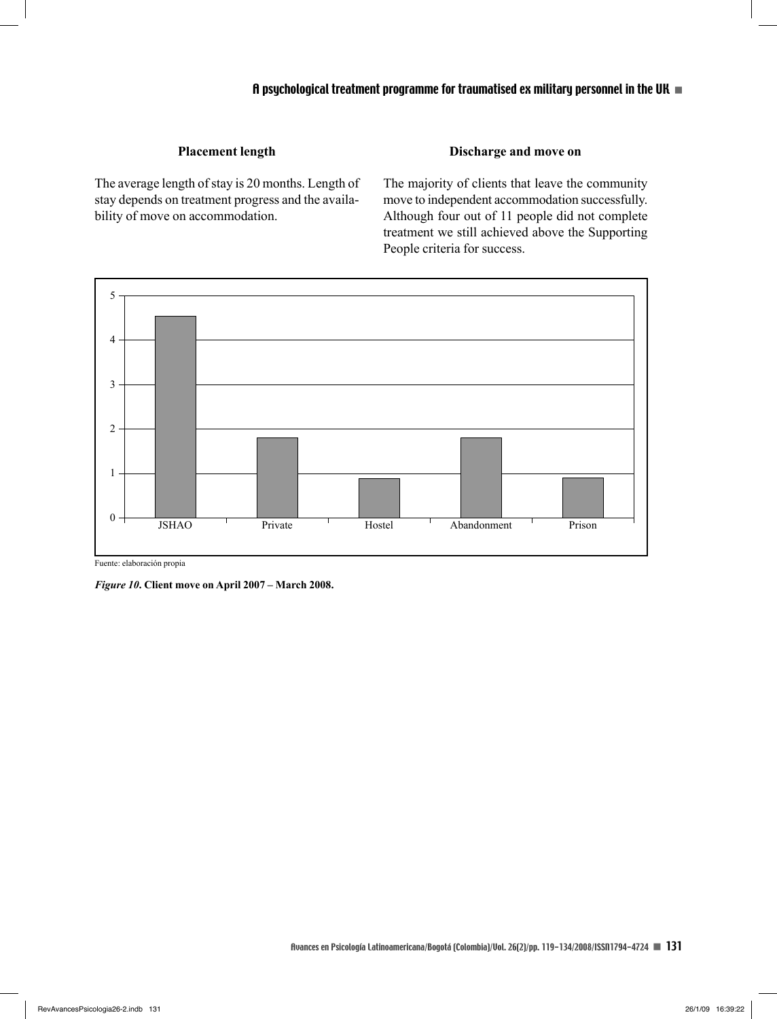## **Placement length**

The average length of stay is 20 months. Length of stay depends on treatment progress and the availability of move on accommodation.

## **Discharge and move on**

The majority of clients that leave the community move to independent accommodation successfully. Although four out of 11 people did not complete treatment we still achieved above the Supporting People criteria for success.



Fuente: elaboración propia

*Figure 10***. Client move on April 2007 – March 2008.**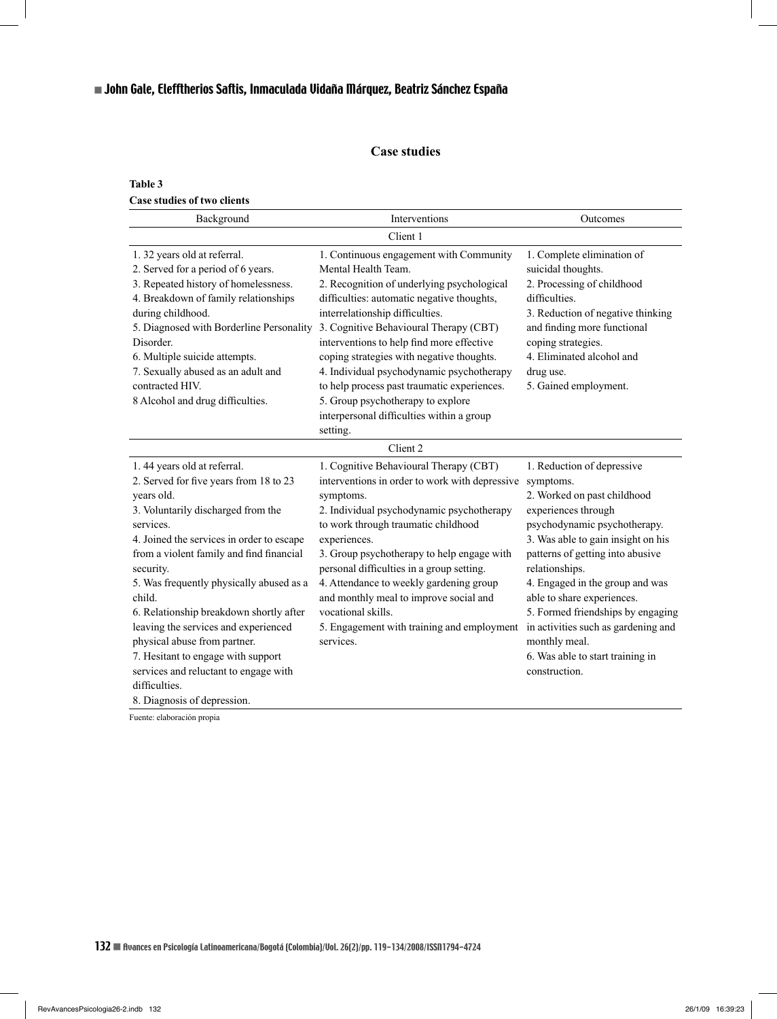## **Case studies**

## **Table 3 Case studies of two clients**

| Background                                                                                                                                                                                                                                                                                                                                                                                                                                                                                                                                           | Interventions                                                                                                                                                                                                                                                                                                                                                                                                                                                                                                               | Outcomes                                                                                                                                                                                                                                                                                                                                                                                                                                     |  |  |  |  |
|------------------------------------------------------------------------------------------------------------------------------------------------------------------------------------------------------------------------------------------------------------------------------------------------------------------------------------------------------------------------------------------------------------------------------------------------------------------------------------------------------------------------------------------------------|-----------------------------------------------------------------------------------------------------------------------------------------------------------------------------------------------------------------------------------------------------------------------------------------------------------------------------------------------------------------------------------------------------------------------------------------------------------------------------------------------------------------------------|----------------------------------------------------------------------------------------------------------------------------------------------------------------------------------------------------------------------------------------------------------------------------------------------------------------------------------------------------------------------------------------------------------------------------------------------|--|--|--|--|
| Client 1                                                                                                                                                                                                                                                                                                                                                                                                                                                                                                                                             |                                                                                                                                                                                                                                                                                                                                                                                                                                                                                                                             |                                                                                                                                                                                                                                                                                                                                                                                                                                              |  |  |  |  |
| 1.32 years old at referral.<br>2. Served for a period of 6 years.<br>3. Repeated history of homelessness.<br>4. Breakdown of family relationships<br>during childhood.<br>5. Diagnosed with Borderline Personality<br>Disorder.<br>6. Multiple suicide attempts.<br>7. Sexually abused as an adult and<br>contracted HIV.<br>8 Alcohol and drug difficulties.                                                                                                                                                                                        | 1. Continuous engagement with Community<br>Mental Health Team.<br>2. Recognition of underlying psychological<br>difficulties: automatic negative thoughts,<br>interrelationship difficulties.<br>3. Cognitive Behavioural Therapy (CBT)<br>interventions to help find more effective<br>coping strategies with negative thoughts.<br>4. Individual psychodynamic psychotherapy<br>to help process past traumatic experiences.<br>5. Group psychotherapy to explore<br>interpersonal difficulties within a group<br>setting. | 1. Complete elimination of<br>suicidal thoughts.<br>2. Processing of childhood<br>difficulties.<br>3. Reduction of negative thinking<br>and finding more functional<br>coping strategies.<br>4. Eliminated alcohol and<br>drug use.<br>5. Gained employment.                                                                                                                                                                                 |  |  |  |  |
|                                                                                                                                                                                                                                                                                                                                                                                                                                                                                                                                                      | Client 2                                                                                                                                                                                                                                                                                                                                                                                                                                                                                                                    |                                                                                                                                                                                                                                                                                                                                                                                                                                              |  |  |  |  |
| 1.44 years old at referral.<br>2. Served for five years from 18 to 23<br>years old.<br>3. Voluntarily discharged from the<br>services.<br>4. Joined the services in order to escape<br>from a violent family and find financial<br>security.<br>5. Was frequently physically abused as a<br>child.<br>6. Relationship breakdown shortly after<br>leaving the services and experienced<br>physical abuse from partner.<br>7. Hesitant to engage with support<br>services and reluctant to engage with<br>difficulties.<br>8. Diagnosis of depression. | 1. Cognitive Behavioural Therapy (CBT)<br>interventions in order to work with depressive<br>symptoms.<br>2. Individual psychodynamic psychotherapy<br>to work through traumatic childhood<br>experiences.<br>3. Group psychotherapy to help engage with<br>personal difficulties in a group setting.<br>4. Attendance to weekly gardening group<br>and monthly meal to improve social and<br>vocational skills.<br>5. Engagement with training and employment<br>services.                                                  | 1. Reduction of depressive<br>symptoms.<br>2. Worked on past childhood<br>experiences through<br>psychodynamic psychotherapy.<br>3. Was able to gain insight on his<br>patterns of getting into abusive<br>relationships.<br>4. Engaged in the group and was<br>able to share experiences.<br>5. Formed friendships by engaging<br>in activities such as gardening and<br>monthly meal.<br>6. Was able to start training in<br>construction. |  |  |  |  |

Fuente: elaboración propia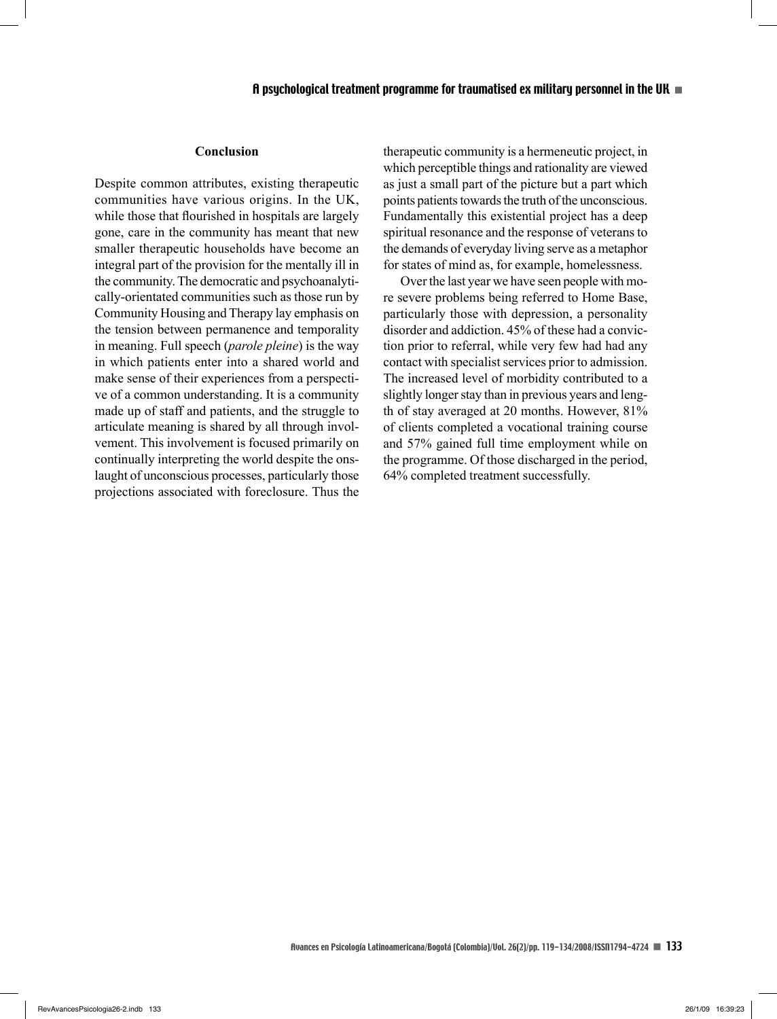#### **Conclusion**

Despite common attributes, existing therapeutic communities have various origins. In the UK, while those that flourished in hospitals are largely gone, care in the community has meant that new smaller therapeutic households have become an integral part of the provision for the mentally ill in the community. The democratic and psychoanalytically-orientated communities such as those run by Community Housing and Therapy lay emphasis on the tension between permanence and temporality in meaning. Full speech (*parole pleine*) is the way in which patients enter into a shared world and make sense of their experiences from a perspective of a common understanding. It is a community made up of staff and patients, and the struggle to articulate meaning is shared by all through involvement. This involvement is focused primarily on continually interpreting the world despite the onslaught of unconscious processes, particularly those projections associated with foreclosure. Thus the

therapeutic community is a hermeneutic project, in which perceptible things and rationality are viewed as just a small part of the picture but a part which points patients towards the truth of the unconscious. Fundamentally this existential project has a deep spiritual resonance and the response of veterans to the demands of everyday living serve as a metaphor for states of mind as, for example, homelessness.

Over the last year we have seen people with more severe problems being referred to Home Base, particularly those with depression, a personality disorder and addiction. 45% of these had a conviction prior to referral, while very few had had any contact with specialist services prior to admission. The increased level of morbidity contributed to a slightly longer stay than in previous years and length of stay averaged at 20 months. However, 81% of clients completed a vocational training course and 57% gained full time employment while on the programme. Of those discharged in the period, 64% completed treatment successfully.